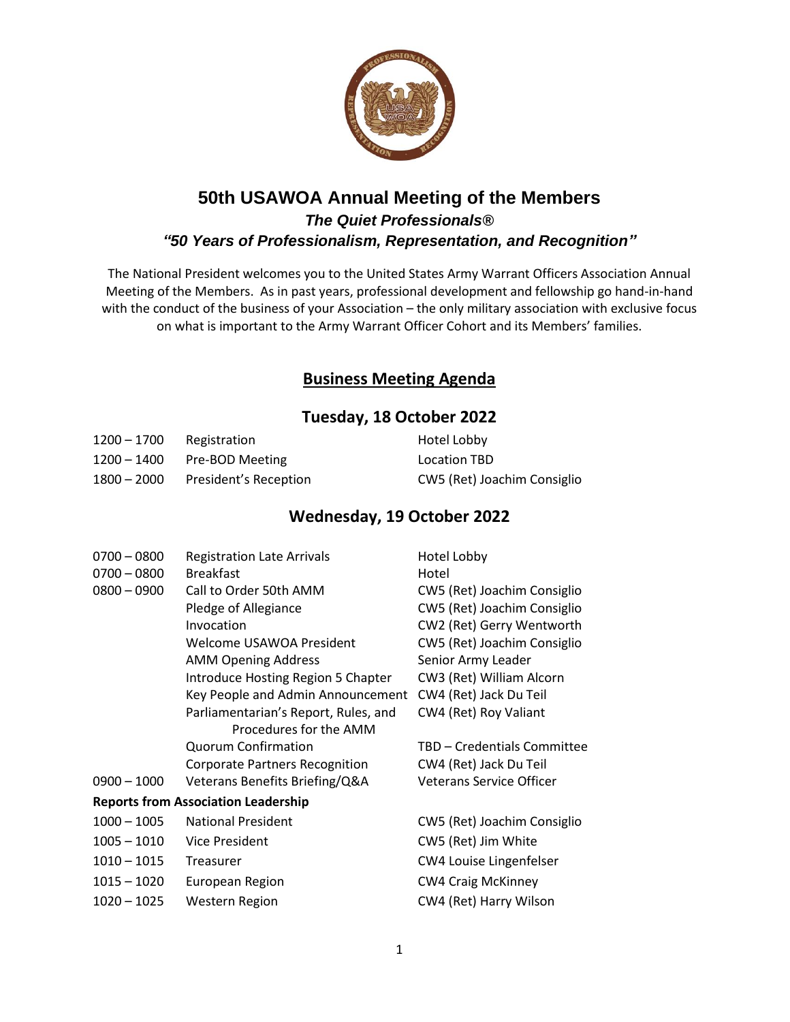

## **50th USAWOA Annual Meeting of the Members** *The Quiet Professionals® "50 Years of Professionalism, Representation, and Recognition"*

The National President welcomes you to the United States Army Warrant Officers Association Annual Meeting of the Members. As in past years, professional development and fellowship go hand-in-hand with the conduct of the business of your Association – the only military association with exclusive focus on what is important to the Army Warrant Officer Cohort and its Members' families.

## **Business Meeting Agenda**

### **Tuesday, 18 October 2022**

| 1200 – 1700 | Registration          | Hotel Lobby                 |
|-------------|-----------------------|-----------------------------|
| 1200 – 1400 | Pre-BOD Meeting       | Location TBD                |
| 1800 – 2000 | President's Reception | CW5 (Ret) Joachim Consiglio |

## **Wednesday, 19 October 2022**

| $0700 - 0800$ | <b>Registration Late Arrivals</b>          | Hotel Lobby                     |
|---------------|--------------------------------------------|---------------------------------|
| $0700 - 0800$ | <b>Breakfast</b>                           | Hotel                           |
| $0800 - 0900$ | Call to Order 50th AMM                     | CW5 (Ret) Joachim Consiglio     |
|               | Pledge of Allegiance                       | CW5 (Ret) Joachim Consiglio     |
|               | Invocation                                 | CW2 (Ret) Gerry Wentworth       |
|               | Welcome USAWOA President                   | CW5 (Ret) Joachim Consiglio     |
|               | <b>AMM Opening Address</b>                 | Senior Army Leader              |
|               | Introduce Hosting Region 5 Chapter         | CW3 (Ret) William Alcorn        |
|               | Key People and Admin Announcement          | CW4 (Ret) Jack Du Teil          |
|               | Parliamentarian's Report, Rules, and       | CW4 (Ret) Roy Valiant           |
|               | Procedures for the AMM                     |                                 |
|               | <b>Quorum Confirmation</b>                 | TBD - Credentials Committee     |
|               | <b>Corporate Partners Recognition</b>      | CW4 (Ret) Jack Du Teil          |
| $0900 - 1000$ | Veterans Benefits Briefing/Q&A             | <b>Veterans Service Officer</b> |
|               | <b>Reports from Association Leadership</b> |                                 |
| $1000 - 1005$ | <b>National President</b>                  | CW5 (Ret) Joachim Consiglio     |
| $1005 - 1010$ | <b>Vice President</b>                      | CW5 (Ret) Jim White             |
| $1010 - 1015$ | Treasurer                                  | CW4 Louise Lingenfelser         |
| $1015 - 1020$ | European Region                            | <b>CW4 Craig McKinney</b>       |
| $1020 - 1025$ | <b>Western Region</b>                      | CW4 (Ret) Harry Wilson          |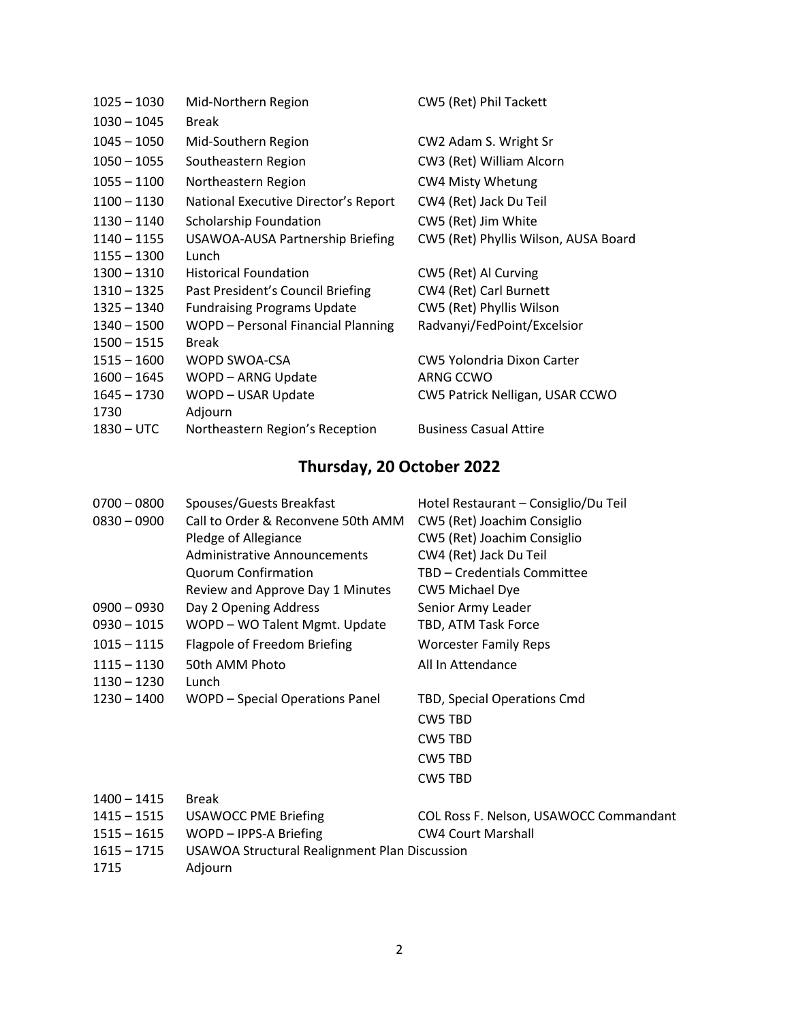| $1025 - 1030$ | Mid-Northern Region                  | CW5 (Ret) Phil Tackett               |
|---------------|--------------------------------------|--------------------------------------|
| $1030 - 1045$ | <b>Break</b>                         |                                      |
| $1045 - 1050$ | Mid-Southern Region                  | CW2 Adam S. Wright Sr                |
| $1050 - 1055$ | Southeastern Region                  | CW3 (Ret) William Alcorn             |
| $1055 - 1100$ | Northeastern Region                  | CW4 Misty Whetung                    |
| $1100 - 1130$ | National Executive Director's Report | CW4 (Ret) Jack Du Teil               |
| $1130 - 1140$ | <b>Scholarship Foundation</b>        | CW5 (Ret) Jim White                  |
| 1140 – 1155   | USAWOA-AUSA Partnership Briefing     | CW5 (Ret) Phyllis Wilson, AUSA Board |
| $1155 - 1300$ | Lunch                                |                                      |
| $1300 - 1310$ | <b>Historical Foundation</b>         | CW5 (Ret) Al Curving                 |
| 1310 – 1325   | Past President's Council Briefing    | CW4 (Ret) Carl Burnett               |
| $1325 - 1340$ | <b>Fundraising Programs Update</b>   | CW5 (Ret) Phyllis Wilson             |
| $1340 - 1500$ | WOPD - Personal Financial Planning   | Radvanyi/FedPoint/Excelsior          |
| $1500 - 1515$ | <b>Break</b>                         |                                      |
| $1515 - 1600$ | WOPD SWOA-CSA                        | CW5 Yolondria Dixon Carter           |
| 1600 - 1645   | WOPD - ARNG Update                   | ARNG CCWO                            |
| $1645 - 1730$ | WOPD - USAR Update                   | CW5 Patrick Nelligan, USAR CCWO      |
| 1730          | Adjourn                              |                                      |
| $1830 - UTC$  | Northeastern Region's Reception      | <b>Business Casual Attire</b>        |

# **Thursday, 20 October 2022**

| $0700 - 0800$<br>$0830 - 0900$ | Spouses/Guests Breakfast<br>Call to Order & Reconvene 50th AMM<br>Pledge of Allegiance<br>Administrative Announcements<br><b>Quorum Confirmation</b><br>Review and Approve Day 1 Minutes | Hotel Restaurant - Consiglio/Du Teil<br>CW5 (Ret) Joachim Consiglio<br>CW5 (Ret) Joachim Consiglio<br>CW4 (Ret) Jack Du Teil<br>TBD - Credentials Committee<br>CW5 Michael Dye |
|--------------------------------|------------------------------------------------------------------------------------------------------------------------------------------------------------------------------------------|--------------------------------------------------------------------------------------------------------------------------------------------------------------------------------|
| $0900 - 0930$                  | Day 2 Opening Address                                                                                                                                                                    | Senior Army Leader                                                                                                                                                             |
| $0930 - 1015$                  | WOPD - WO Talent Mgmt. Update                                                                                                                                                            | TBD, ATM Task Force                                                                                                                                                            |
| $1015 - 1115$                  | Flagpole of Freedom Briefing                                                                                                                                                             | <b>Worcester Family Reps</b>                                                                                                                                                   |
| $1115 - 1130$                  | 50th AMM Photo                                                                                                                                                                           | All In Attendance                                                                                                                                                              |
| $1130 - 1230$                  | Lunch                                                                                                                                                                                    |                                                                                                                                                                                |
| $1230 - 1400$                  | <b>WOPD - Special Operations Panel</b>                                                                                                                                                   | TBD, Special Operations Cmd                                                                                                                                                    |
|                                |                                                                                                                                                                                          | <b>CW5 TBD</b>                                                                                                                                                                 |
|                                |                                                                                                                                                                                          | <b>CW5 TBD</b>                                                                                                                                                                 |
|                                |                                                                                                                                                                                          | <b>CW5 TBD</b>                                                                                                                                                                 |
|                                |                                                                                                                                                                                          | <b>CW5 TBD</b>                                                                                                                                                                 |
| $1400 - 1415$                  | <b>Break</b>                                                                                                                                                                             |                                                                                                                                                                                |
| $1415 - 1515$                  | <b>USAWOCC PME Briefing</b>                                                                                                                                                              | COL Ross F. Nelson, USAWOCC Commandant                                                                                                                                         |
| $1515 - 1615$                  | WOPD - IPPS-A Briefing                                                                                                                                                                   | <b>CW4 Court Marshall</b>                                                                                                                                                      |
| $1615 - 1715$                  | <b>USAWOA Structural Realignment Plan Discussion</b>                                                                                                                                     |                                                                                                                                                                                |

Adjourn